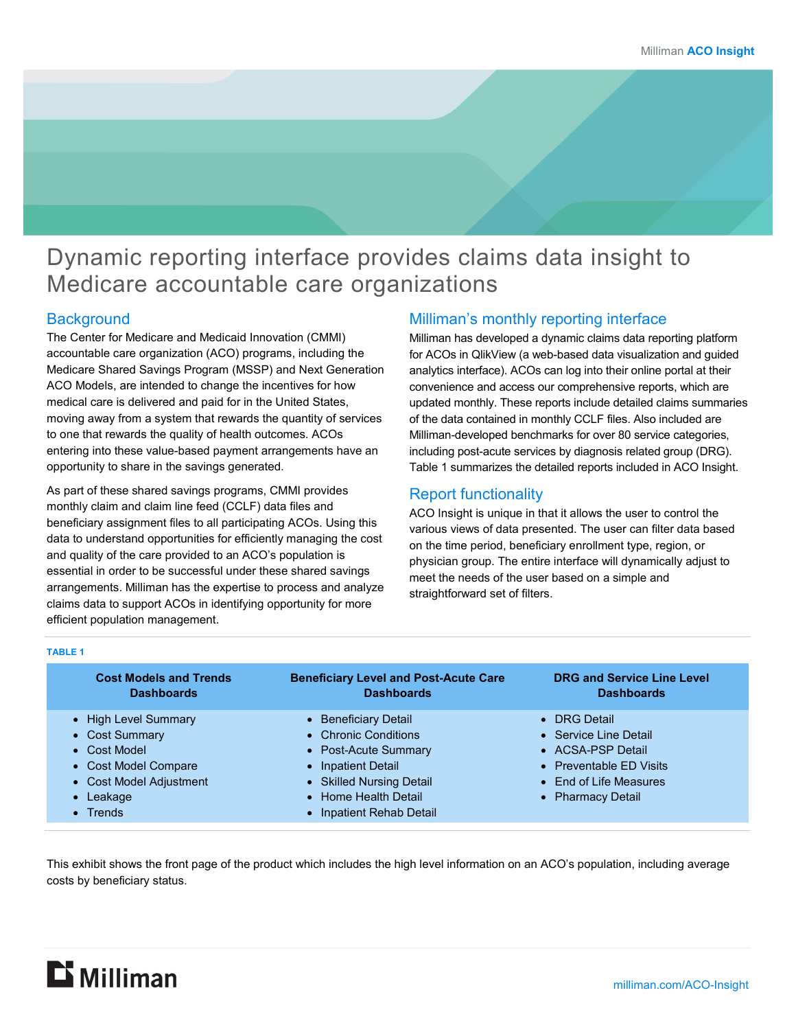# Dynamic reporting interface provides claims data insight to Medicare accountable care organizations

### **Background**

The Center for Medicare and Medicaid Innovation (CMMI) accountable care organization (ACO) programs, including the Medicare Shared Savings Program (MSSP) and Next Generation ACO Models, are intended to change the incentives for how medical care is delivered and paid for in the United States, moving away from a system that rewards the quantity of services to one that rewards the quality of health outcomes. ACOs entering into these value-based payment arrangements have an opportunity to share in the savings generated.

As part of these shared savings programs, CMMI provides monthly claim and claim line feed (CCLF) data files and beneficiary assignment files to all participating ACOs. Using this data to understand opportunities for efficiently managing the cost and quality of the care provided to an ACO's population is essential in order to be successful under these shared savings arrangements. Milliman has the expertise to process and analyze claims data to support ACOs in identifying opportunity for more efficient population management.

### Milliman's monthly reporting interface

Milliman has developed a dynamic claims data reporting platform for ACOs in QlikView (a web-based data visualization and guided analytics interface). ACOs can log into their online portal at their convenience and access our comprehensive reports, which are updated monthly. These reports include detailed claims summaries of the data contained in monthly CCLF files. Also included are Milliman-developed benchmarks for over 80 service categories, including post-acute services by diagnosis related group (DRG). Table 1 summarizes the detailed reports included in ACO Insight.

### Report functionality

ACO Insight is unique in that it allows the user to control the various views of data presented. The user can filter data based on the time period, beneficiary enrollment type, region, or physician group. The entire interface will dynamically adjust to meet the needs of the user based on a simple and straightforward set of filters.

#### **TABLE 1**

| <b>Cost Models and Trends</b><br><b>Dashboards</b> | <b>Beneficiary Level and Post-Acute Care</b><br><b>Dashboards</b> | <b>DRG and Service Line Level</b><br><b>Dashboards</b> |
|----------------------------------------------------|-------------------------------------------------------------------|--------------------------------------------------------|
| • High Level Summary                               | • Beneficiary Detail                                              | • DRG Detail                                           |
| • Cost Summary                                     | • Chronic Conditions                                              | • Service Line Detail                                  |
| • Cost Model                                       | • Post-Acute Summary                                              | • ACSA-PSP Detail                                      |
| • Cost Model Compare                               | • Inpatient Detail                                                | • Preventable ED Visits                                |
| • Cost Model Adjustment                            | • Skilled Nursing Detail                                          | • End of Life Measures                                 |
| $\bullet$ Leakage                                  | • Home Health Detail                                              | • Pharmacy Detail                                      |
| $\bullet$ Trends                                   | • Inpatient Rehab Detail                                          |                                                        |

This exhibit shows the front page of the product which includes the high level information on an ACO's population, including average costs by beneficiary status.